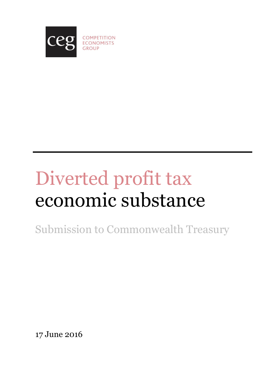

# Diverted profit tax economic substance

Submission to Commonwealth Treasury

17 June 2016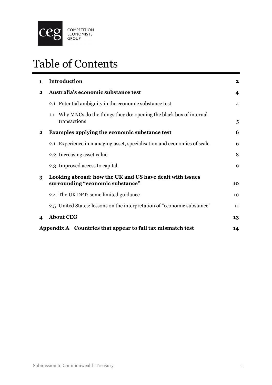

# Table of Contents

| $\mathbf 1$                                                | <b>Introduction</b>                                                                          |    |  |  |  |
|------------------------------------------------------------|----------------------------------------------------------------------------------------------|----|--|--|--|
| $\bf{2}$                                                   | Australia's economic substance test                                                          |    |  |  |  |
|                                                            | 2.1 Potential ambiguity in the economic substance test                                       | 4  |  |  |  |
|                                                            | 1.1 Why MNCs do the things they do: opening the black box of internal<br>transactions        | 5  |  |  |  |
| $\mathbf{2}$                                               | Examples applying the economic substance test                                                | 6  |  |  |  |
|                                                            | 2.1 Experience in managing asset, specialisation and economies of scale                      | 6  |  |  |  |
|                                                            | 2.2 Increasing asset value                                                                   | 8  |  |  |  |
|                                                            | 2.3 Improved access to capital                                                               | 9  |  |  |  |
| 3                                                          | Looking abroad: how the UK and US have dealt with issues<br>surrounding "economic substance" |    |  |  |  |
|                                                            | 2.4 The UK DPT: some limited guidance                                                        | 10 |  |  |  |
|                                                            | 2.5 United States: lessons on the interpretation of "economic substance"                     | 11 |  |  |  |
| 4                                                          | <b>About CEG</b>                                                                             | 13 |  |  |  |
| Appendix A Countries that appear to fail tax mismatch test |                                                                                              |    |  |  |  |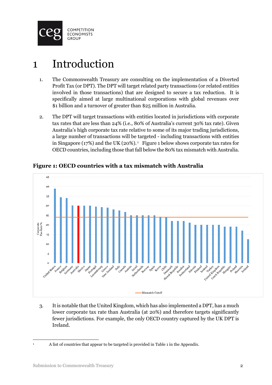

### <span id="page-2-0"></span>1 Introduction

- 1. The Commonwealth Treasury are consulting on the implementation of a Diverted Profit Tax (or DPT). The DPT will target related party transactions (or related entities involved in those transactions) that are designed to secure a tax reduction. It is specifically aimed at large multinational corporations with global revenues over \$1 billion and a turnover of greater than \$25 million in Australia.
- 2. The DPT will target transactions with entities located in jurisdictions with corporate tax rates that are less than 24% (i.e., 80% of Australia's current 30% tax rate). Given Australia's high corporate tax rate relative to some of its major trading jurisdictions, a large number of transactions will be targeted - including transactions with entities in Singapore (17%) and the UK (20%). 1 Figure 1 below shows corporate tax rates for OECD countries, including those that fall below the 80% tax mismatch with Australia.



**Figure 1: OECD countries with a tax mismatch with Australia**

3. It is notable that the United Kingdom, which has also implemented a DPT, has a much lower corporate tax rate than Australia (at 20%) and therefore targets significantly fewer jurisdictions. For example, the only OECD country captured by the UK DPT is Ireland.

 $\overline{1}$ 

<sup>1</sup> A list of countries that appear to be targeted is provided in [Table 1](#page-14-1) in the Appendix.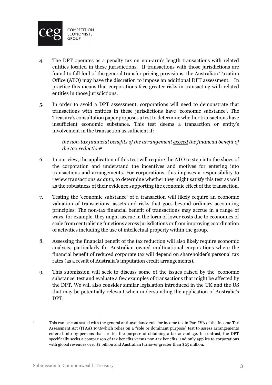

- 4. The DPT operates as a penalty tax on non-arm's length transactions with related entities located in these jurisdictions. If transactions with those jurisdictions are found to fall foul of the general transfer pricing provisions, the Australian Taxation Office (ATO) may have the discretion to impose an additional DPT assessment. In practice this means that corporations face greater risks in transacting with related entities in those jurisdictions.
- 5. In order to avoid a DPT assessment, corporations will need to demonstrate that transactions with entities in these jurisdictions have 'economic substance'. The Treasury's consultation paper proposes a test to determine whether transactions have insufficient economic substance. This test deems a transaction or entity's involvement in the transaction as sufficient if:

*the non-tax financial benefits of the arrangement exceed the financial benefit of the tax reduction<sup>2</sup>*

- 6. In our view, the application of this test will require the ATO to step into the shoes of the corporation and understand the incentives and motives for entering into transactions and arrangements. For corporations, this imposes a responsibility to review transactions *ex ante*, to determine whether they might satisfy this test as well as the robustness of their evidence supporting the economic effect of the transaction.
- 7. Testing the 'economic substance' of a transaction will likely require an economic valuation of transactions, assets and risks that goes beyond ordinary accounting principles. The non-tax financial benefit of transactions may accrue in a range of ways, for example, they might accrue in the form of lower costs due to economies of scale from centralising functions across jurisdictions or from improving coordination of activities including the use of intellectual property within the group.
- 8. Assessing the financial benefit of the tax reduction will also likely require economic analysis, particularly for Australian owned multinational corporations where the financial benefit of reduced corporate tax will depend on shareholder's personal tax rates (as a result of Australia's imputation credit arrangements).
- 9. This submission will seek to discuss some of the issues raised by the 'economic substance' test and evaluate a few examples of transactions that might be affected by the DPT. We will also consider similar legislation introduced in the UK and the US that may be potentially relevant when understanding the application of Australia's DPT.

**<sup>.</sup>** <sup>2</sup> This can be contrasted with the general anti-avoidance rule for income tax in Part IVA of the Income Tax Assessment Act (ITAA) 1936which relies on a "sole or dominant purpose" test to assess arrangements entered into by persons that are for the purpose of obtaining a tax advantage. In contrast, the DPT specifically seeks a comparison of tax benefits versus non-tax benefits, and only applies to corporations with global revenues over \$1 billion and Australian turnover greater than \$25 million.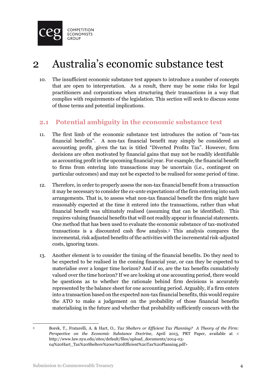

### <span id="page-4-0"></span>2 Australia's economic substance test

10. The insufficient economic substance test appears to introduce a number of concepts that are open to interpretation. As a result, there may be some risks for legal practitioners and corporations when structuring their transactions in a way that complies with requirements of the legislation. This section will seek to discuss some of those terms and potential implications.

#### <span id="page-4-1"></span>**2.1 Potential ambiguity in the economic substance test**

- 11. The first limb of the economic substance test introduces the notion of "non-tax financial benefits". A non-tax financial benefit may simply be considered an accounting profit, given the tax is titled "Diverted Profits Tax". However, firm decisions are often motivated by financial gains that may not be readily identifiable as accounting profit in the upcoming financial year. For example, the financial benefit to firms from entering into transactions may be uncertain (i.e., contingent on particular outcomes) and may not be expected to be realised for some period of time.
- 12. Therefore, in order to properly assess the non-tax financial benefit from a transaction it may be necessary to consider the *ex-ante* expectations of the firm entering into such arrangements. That is, to assess what non-tax financial benefit the firm might have reasonably expected at the time it entered into the transactions, rather than what financial benefit was ultimately realised (assuming that can be identified). This requires valuing financial benefits that will not readily appear in financial statements. One method that has been used to evaluate the economic substance of tax-motivated transactions is a discounted cash flow analysis. <sup>3</sup> This analysis compares the incremental, risk adjusted benefits of the activities with the incremental risk-adjusted costs, ignoring taxes.
- 13. Another element is to consider the timing of the financial benefits. Do they need to be expected to be realised in the coming financial year, or can they be expected to materialise over a longer time horizon? And if so, are the tax benefits cumulatively valued over the time horizon? If we are looking at one accounting period, there would be questions as to whether the rationale behind firm decisions is accurately represented by the balance sheet for one accounting period. Arguably, if a firm enters into a transaction based on the expected non-tax financial benefits, this would require the ATO to make a judgement on the probability of those financial benefits materialising in the future and whether that probability sufficiently concurs with the

<sup>1</sup> <sup>3</sup> Borek, T., Fratarelli, A. & Hart, O., *Tax Shelters or Efficient Tax Planning? A Theory of the Firm: Perspective on the Economic Substance Doctrine,* April 2013, PRT Paper, available at < http://www.law.nyu.edu/sites/default/files/upload\_documents/2014-03- 04%20Hart\_Tax%20Shelters%20or%20Efficient%20Tax%20Planning.pdf>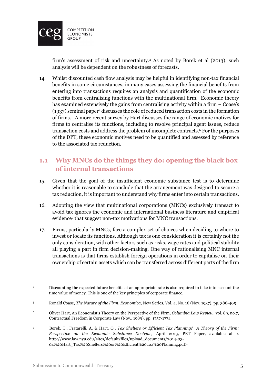

firm's assessment of risk and uncertainty. <sup>4</sup> As noted by Borek et al (2013), such analysis will be dependent on the robustness of forecasts.

14. Whilst discounted cash flow analysis may be helpful in identifying non-tax financial benefits in some circumstances, in many cases assessing the financial benefits from entering into transactions requires an analysis and quantification of the economic benefits from centralising functions with the multinational firm. Economic theory has examined extensively the gains from centralising activity within a firm – Coase's (1937) seminal paper<sup>5</sup> discusses the role of reduced transaction costs in the formation of firms. A more recent survey by Hart discusses the range of economic motives for firms to centralise its functions, including to resolve principal agent issues, reduce transaction costs and address the problem of incomplete contracts. <sup>6</sup> For the purposes of the DPT, these economic motives need to be quantified and assessed by reference to the associated tax reduction.

#### <span id="page-5-0"></span>**1.1 Why MNCs do the things they do: opening the black box of internal transactions**

- 15. Given that the goal of the insufficient economic substance test is to determine whether it is reasonable to conclude that the arrangement was designed to secure a tax reduction, it is important to understand why firms enter into certain transactions.
- 16. Adopting the view that multinational corporations (MNCs) exclusively transact to avoid tax ignores the economic and international business literature and empirical evidence<sup>7</sup> that suggest non-tax motivations for MNC transactions.
- 17. Firms, particularly MNCs, face a complex set of choices when deciding to where to invest or locate its functions. Although tax is one consideration it is certainly not the only consideration, with other factors such as risks, wage rates and political stability all playing a part in firm decision-making. One way of rationalising MNC internal transactions is that firms establish foreign operations in order to capitalise on their ownership of certain assets which can be transferred across different parts of the firm

 $\overline{\phantom{a}}$ <sup>4</sup> Discounting the expected future benefits at an appropriate rate is also required to take into account the time value of money. This is one of the key principles of corporate finance.

<sup>5</sup> Ronald Coase, *The Nature of the Firm, Economica*, New Series, Vol. 4, No. 16 (Nov, 1937), pp. 386-405

<sup>6</sup> Oliver Hart, An Economist's Theory on the Perspective of the Firm, *Columbia Law Review*, vol. 89, no.7, Contractual Freedom in Corporate Law (Nov., 1989), pp. 1757-1774

<sup>7</sup> Borek, T., Fratarelli, A. & Hart, O., *Tax Shelters or Efficient Tax Planning? A Theory of the Firm: Perspective on the Economic Substance Doctrine,* April 2013, PRT Paper, available at < http://www.law.nyu.edu/sites/default/files/upload\_documents/2014-03- 04%20Hart\_Tax%20Shelters%20or%20Efficient%20Tax%20Planning.pdf>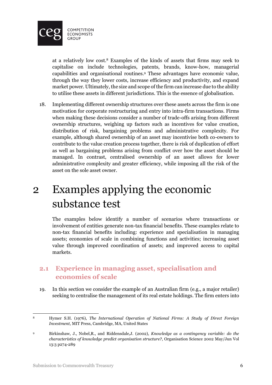

at a relatively low cost. <sup>8</sup> Examples of the kinds of assets that firms may seek to capitalise on include technologies, patents, brands, know-how, managerial capabilities and organisational routines. <sup>9</sup> These advantages have economic value, through the way they lower costs, increase efficiency and productivity, and expand market power. Ultimately, the size and scope of the firm can increase due to the ability to utilise these assets in different jurisdictions. This is the essence of globalisation.

18. Implementing different ownership structures over these assets across the firm is one motivation for corporate restructuring and entry into intra-firm transactions. Firms when making these decisions consider a number of trade-offs arising from different ownership structures, weighing up factors such as incentives for value creation, distribution of risk, bargaining problems and administrative complexity. For example, although shared ownership of an asset may incentivise both co-owners to contribute to the value creation process together, there is risk of duplication of effort as well as bargaining problems arising from conflict over how the asset should be managed. In contrast, centralised ownership of an asset allows for lower administrative complexity and greater efficiency, while imposing all the risk of the asset on the sole asset owner.

### <span id="page-6-0"></span>2 Examples applying the economic substance test

The examples below identify a number of scenarios where transactions or involvement of entities generate non-tax financial benefits. These examples relate to non-tax financial benefits including: experience and specialisation in managing assets; economies of scale in combining functions and activities; increasing asset value through improved coordination of assets; and improved access to capital markets.

#### <span id="page-6-1"></span>**2.1 Experience in managing asset, specialisation and economies of scale**

19. In this section we consider the example of an Australian firm (e.g., a major retailer) seeking to centralise the management of its real estate holdings. The firm enters into

 $\overline{8}$ <sup>8</sup> Hymer S.H. (1976), *The International Operation of National Firms: A Study of Direct Foreign Investment*, MIT Press, Cambridge, MA, United States

<sup>9</sup> Birkinshaw, J., Nobel,R., and Riddensdale,J. (2002), *Knowledge as a contingency variable: do the characteristics of knowledge predict organisation structure?*, Organisation Science 2002 May/Jun Vol 13:3 p274-289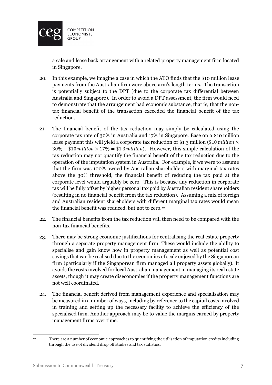

a sale and lease back arrangement with a related property management firm located in Singapore.

- 20. In this example, we imagine a case in which the ATO finds that the \$10 million lease payments from the Australian firm were above arm's length terms. The transaction is potentially subject to the DPT (due to the corporate tax differential between Australia and Singapore). In order to avoid a DPT assessment, the firm would need to demonstrate that the arrangement had economic substance, that is, that the nontax financial benefit of the transaction exceeded the financial benefit of the tax reduction.
- 21. The financial benefit of the tax reduction may simply be calculated using the corporate tax rate of 30% in Australia and 17% in Singapore. Base on a \$10 million lease payment this will yield a corporate tax reduction of \$1.3 million (\$10 *million*  $\times$  $30\% - $10$  million  $\times 17\% = $1.3$  million). However, this simple calculation of the tax reduction may not quantify the financial benefit of the tax reduction due to the operation of the imputation system in Australia. For example, if we were to assume that the firm was 100% owned by Australian shareholders with marginal tax rates above the 30% threshold, the financial benefit of reducing the tax paid at the corporate level would arguably be zero. This is because any reduction in corporate tax will be fully offset by higher personal tax paid by Australian resident shareholders (resulting in no financial benefit from the tax reduction). Assuming a mix of foreign and Australian resident shareholders with different marginal tax rates would mean the financial benefit was reduced, but not to zero.<sup>10</sup>
- 22. The financial benefits from the tax reduction will then need to be compared with the non-tax financial benefits.
- 23. There may be strong economic justifications for centralising the real estate property through a separate property management firm. These would include the ability to specialise and gain know how in property management as well as potential cost savings that can be realised due to the economies of scale enjoyed by the Singaporean firm (particularly if the Singaporean firm managed all property assets globally). It avoids the costs involved for local Australian management in managing its real estate assets, though it may create diseconomies if the property management functions are not well coordinated.
- 24. The financial benefit derived from management experience and specialisation may be measured in a number of ways, including by reference to the capital costs involved in training and setting up the necessary facility to achieve the efficiency of the specialised firm. Another approach may be to value the margins earned by property management firms over time.

**<sup>.</sup>** <sup>10</sup> There are a number of economic approaches to quantifying the utilisation of imputation credits including through the use of dividend drop off studies and tax statistics.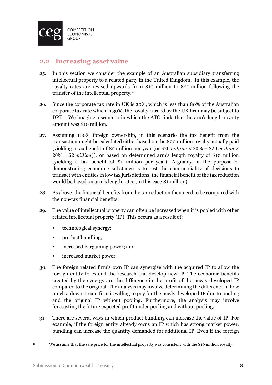

#### <span id="page-8-0"></span>**2.2 Increasing asset value**

- 25. In this section we consider the example of an Australian subsidiary transferring intellectual property to a related party in the United Kingdom. In this example, the royalty rates are revised upwards from \$10 million to \$20 million following the transfer of the intellectual property. 11
- 26. Since the corporate tax rate in UK is 20%, which is less than 80% of the Australian corporate tax rate which is 30%, the royalty earned by the UK firm may be subject to DPT. We imagine a scenario in which the ATO finds that the arm's length royalty amount was \$10 million.
- 27. Assuming 100% foreign ownership, in this scenario the tax benefit from the transaction might be calculated either based on the \$20 million royalty actually paid (yielding a tax benefit of \$2 million per year (or \$20 million  $\times$  30% – \$20 million  $\times$  $20\% = $2 \text{ million}$ , or based on determined arm's length royalty of \$10 million (yielding a tax benefit of \$1 million per year). Arguably, if the purpose of demonstrating economic substance is to test the commerciality of decisions to transact with entities in low tax jurisdictions, the financial benefit of the tax reduction would be based on arm's length rates (in this case \$1 million).
- 28. As above, the financial benefits from the tax reduction then need to be compared with the non-tax financial benefits.
- 29. The value of intellectual property can often be increased when it is pooled with other related intellectual property (IP). This occurs as a result of:
	- **technological synergy;**
	- product bundling;
	- **F** increased bargaining power; and
	- **If** increased market power.
- 30. The foreign related firm's own IP can synergise with the acquired IP to allow the foreign entity to extend the research and develop new IP. The economic benefits created by the synergy are the difference in the profit of the newly developed IP compared to the original. The analysis may involve determining the difference in how much a downstream firm is willing to pay for the newly developed IP due to pooling and the original IP without pooling. Furthermore, the analysis may involve forecasting the future expected profit under pooling and without pooling.
- 31. There are several ways in which product bundling can increase the value of IP. For example, if the foreign entity already owns an IP which has strong market power, bundling can increase the quantity demanded for additional IP. Even if the foreign

 $\mathbf{11}$ 

We assume that the sale price for the intellectual property was consistent with the \$10 million royalty.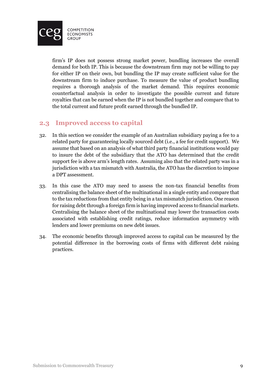

firm's IP does not possess strong market power, bundling increases the overall demand for both IP. This is because the downstream firm may not be willing to pay for either IP on their own, but bundling the IP may create sufficient value for the downstream firm to induce purchase. To measure the value of product bundling requires a thorough analysis of the market demand. This requires economic counterfactual analysis in order to investigate the possible current and future royalties that can be earned when the IP is not bundled together and compare that to the total current and future profit earned through the bundled IP.

#### <span id="page-9-0"></span>**2.3 Improved access to capital**

- 32. In this section we consider the example of an Australian subsidiary paying a fee to a related party for guaranteeing locally sourced debt (i.e., a fee for credit support). We assume that based on an analysis of what third party financial institutions would pay to insure the debt of the subsidiary that the ATO has determined that the credit support fee is above arm's length rates. Assuming also that the related party was in a jurisdiction with a tax mismatch with Australia, the ATO has the discretion to impose a DPT assessment.
- 33. In this case the ATO may need to assess the non-tax financial benefits from centralising the balance sheet of the multinational in a single entity and compare that to the tax reductions from that entity being in a tax mismatch jurisdiction. One reason for raising debt through a foreign firm is having improved access to financial markets. Centralising the balance sheet of the multinational may lower the transaction costs associated with establishing credit ratings, reduce information asymmetry with lenders and lower premiums on new debt issues.
- 34. The economic benefits through improved access to capital can be measured by the potential difference in the borrowing costs of firms with different debt raising practices.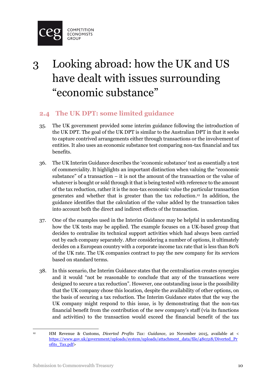

# <span id="page-10-0"></span>3 Looking abroad: how the UK and US have dealt with issues surrounding "economic substance"

#### <span id="page-10-1"></span>**2.4 The UK DPT: some limited guidance**

- 35. The UK government provided some interim guidance following the introduction of the UK DPT. The goal of the UK DPT is similar to the Australian DPT in that it seeks to capture contrived arrangements either through transactions or the involvement of entities. It also uses an economic substance test comparing non-tax financial and tax benefits.
- 36. The UK Interim Guidance describes the 'economic substance' test as essentially a test of commerciality. It highlights an important distinction when valuing the "economic substance" of a transaction – it is not the amount of the transaction or the value of whatever is bought or sold through it that is being tested with reference to the amount of the tax reduction, rather it is the non-tax economic value the particular transaction generates and whether that is greater than the tax reduction. <sup>12</sup> In addition, the guidance identifies that the calculation of the value added by the transaction takes into account both the direct and indirect effects of the transaction.
- 37. One of the examples used in the Interim Guidance may be helpful in understanding how the UK tests may be applied. The example focuses on a UK-based group that decides to centralise its technical support activities which had always been carried out by each company separately. After considering a number of options, it ultimately decides on a European country with a corporate income tax rate that is less than 80% of the UK rate. The UK companies contract to pay the new company for its services based on standard terms.
- 38. In this scenario, the Interim Guidance states that the centralisation creates synergies and it would "not be reasonable to conclude that any of the transactions were designed to secure a tax reduction". However, one outstanding issue is the possibility that the UK company chose this location, despite the availability of other options, on the basis of securing a tax reduction. The Interim Guidance states that the way the UK company might respond to this issue, is by demonstrating that the non-tax financial benefit from the contribution of the new company's staff (via its functions and activities) to the transaction would exceed the financial benefit of the tax

**<sup>.</sup>** <sup>12</sup> HM Revenue & Customs, *Diverted Profits Tax: Guidance*, 20 November 2015, available at < [https://www.gov.uk/government/uploads/system/uploads/attachment\\_data/file/480318/Diverted\\_Pr](https://www.gov.uk/government/uploads/system/uploads/attachment_data/file/480318/Diverted_Profits_Tax.pdf) [ofits\\_Tax.pdf>](https://www.gov.uk/government/uploads/system/uploads/attachment_data/file/480318/Diverted_Profits_Tax.pdf)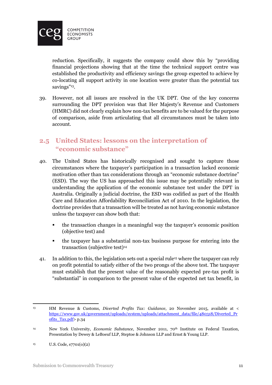

reduction. Specifically, it suggests the company could show this by "providing financial projections showing that at the time the technical support centre was established the productivity and efficiency savings the group expected to achieve by co-locating all support activity in one location were greater than the potential tax savings"<sup>13</sup>.

39. However, not all issues are resolved in the UK DPT. One of the key concerns surrounding the DPT provision was that Her Majesty's Revenue and Customers (HMRC) did not clearly explain how non-tax benefits are to be valued for the purpose of comparison, aside from articulating that all circumstances must be taken into account.

#### <span id="page-11-0"></span>**2.5 United States: lessons on the interpretation of "economic substance"**

- 40. The United States has historically recognised and sought to capture those circumstances where the taxpayer's participation in a transaction lacked economic motivation other than tax considerations through an "economic substance doctrine" (ESD). The way the US has approached this issue may be potentially relevant in understanding the application of the economic substance test under the DPT in Australia. Originally a judicial doctrine, the ESD was codified as part of the Health Care and Education Affordability Reconciliation Act of 2010. In the legislation, the doctrine provides that a transaction will be treated as not having economic substance unless the taxpayer can show both that:
	- the transaction changes in a meaningful way the taxpayer's economic position (objective test) and
	- the taxpayer has a substantial non-tax business purpose for entering into the transaction (subjective test)<sup>14</sup>
- 41. In addition to this, the legislation sets out a special rule<sup>15</sup> where the taxpayer can rely on profit potential to satisfy either of the two prongs of the above test. The taxpayer must establish that the present value of the reasonably expected pre-tax profit is "substantial" in comparison to the present value of the expected net tax benefit, in

 $13\,$ <sup>13</sup> HM Revenue & Customs, *Diverted Profits Tax: Guidance*, 20 November 2015, available at < [https://www.gov.uk/government/uploads/system/uploads/attachment\\_data/file/480318/Diverted\\_Pr](https://www.gov.uk/government/uploads/system/uploads/attachment_data/file/480318/Diverted_Profits_Tax.pdf) ofits Tax.pdf> p.34

<sup>14</sup> New York University, *Economic Substance*, November 2011, 70th Institute on Federal Taxation, Presentation by Dewey & LeBoeuf LLP, Steptoe & Johnson LLP and Ernst & Young LLP.

 $15$  U.S. Code,  $s7701(0)(2)$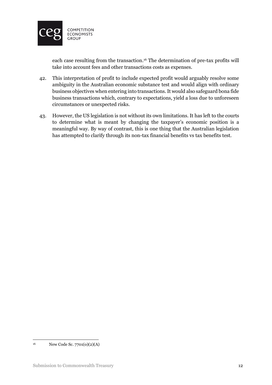

each case resulting from the transaction. <sup>16</sup> The determination of pre-tax profits will take into account fees and other transactions costs as expenses.

- 42. This interpretation of profit to include expected profit would arguably resolve some ambiguity in the Australian economic substance test and would align with ordinary business objectives when entering into transactions. It would also safeguard bona fide business transactions which, contrary to expectations, yield a loss due to unforeseen circumstances or unexpected risks.
- 43. However, the US legislation is not without its own limitations. It has left to the courts to determine what is meant by changing the taxpayer's economic position is a meaningful way. By way of contrast, this is one thing that the Australian legislation has attempted to clarify through its non-tax financial benefits vs tax benefits test.

 $16$ New Code Sc. 7701(o)(2)(A)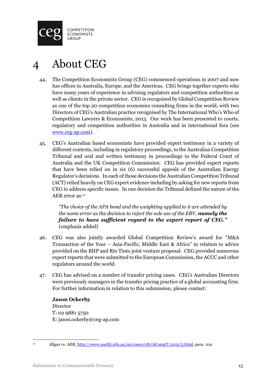

## <span id="page-13-0"></span>About CEG

- 44. The Competition Economists Group (CEG) commenced operations in 2007 and now has offices in Australia, Europe, and the Americas. CEG brings together experts who have many years of experience in advising regulators and competition authorities as well as clients in the private sector. CEG is recognised by Global Competition Review as one of the top 20 competition economics consulting firms in the world, with two Directors of CEG's Australian practice recognised by The International Who's Who of Competition Lawyers & Economists, 2013. Our work has been presented to courts, regulatory and competition authorities in Australia and in international fora (see [www.ceg-ap.com\)](http://www.ceg-ap.com/).
- 45. CEG's Australian based economists have provided expert testimony in a variety of different contexts, including in regulatory proceedings, to the Australian Competition Tribunal and oral and written testimony in proceedings in the Federal Court of Australia and the UK Competition Commission. CEG has provided expert reports that have been relied on in six (6) successful appeals of the Australian Energy Regulator's decisions. In each of those decisions the Australian Competition Tribunal (ACT) relied heavily on CEG expert evidence including by asking for new reports from CEG to address specific issues. In one decision the Tribunal defined the nature of the AER error as:<sup>17</sup>

*"The choice of the APA bond and the weighting applied to it are attended by the same error as the decision to reject the sole use of the EBV, namely the failure to have sufficient regard to the expert report of CEG."*  (emphasis added)

- 46. CEG was also jointly awarded Global Competition Review's award for "M&A Transaction of the Year – Asia-Pacific, Middle East & Africa" in relation to advice provided on the BHP and Rio Tinto joint venture proposal. CEG provided numerous expert reports that were submitted to the European Commission, the ACCC and other regulators around the world.
- 47. CEG has advised on a number of transfer pricing cases. CEG's Australian Directors were previously managers in the transfer pricing practice of a global accounting firm. For further information in relation to this submission, please contact:

**Jason Ockerby** Director T: 02 9881 5750 E: jason.ockerby@ceg-ap.com

 $17^{\circ}$ Allgas vs. AER[, http://www.austlii.edu.au/au/cases/cth/ACompT/2012/5.html,](http://www.austlii.edu.au/au/cases/cth/ACompT/2012/5.html) para. 104